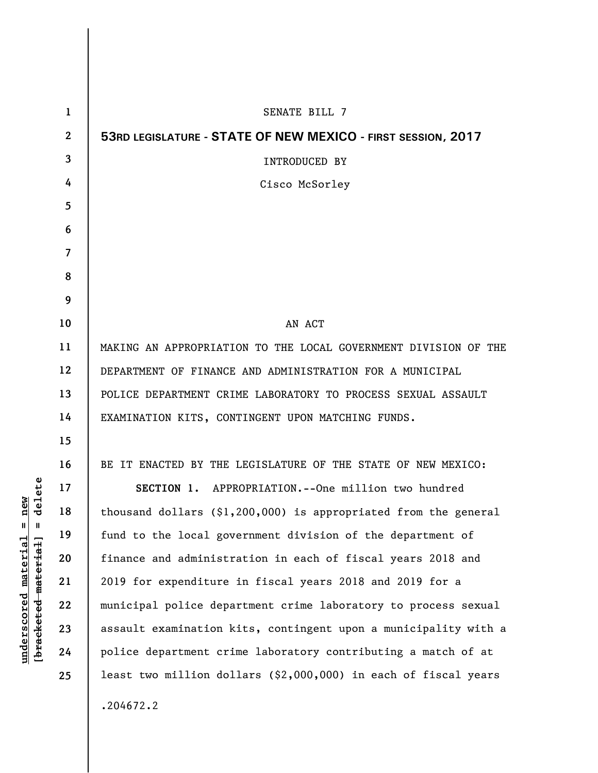| $\mathbf{1}$             | SENATE BILL 7                                                    |
|--------------------------|------------------------------------------------------------------|
| $\mathbf{2}$             | 53RD LEGISLATURE - STATE OF NEW MEXICO - FIRST SESSION, 2017     |
| 3                        | <b>INTRODUCED BY</b>                                             |
| 4                        | Cisco McSorley                                                   |
| 5                        |                                                                  |
| 6                        |                                                                  |
| $\overline{\phantom{a}}$ |                                                                  |
| 8                        |                                                                  |
| 9                        |                                                                  |
| 10                       | AN ACT                                                           |
| 11                       | MAKING AN APPROPRIATION TO THE LOCAL GOVERNMENT DIVISION OF THE  |
| 12                       | DEPARTMENT OF FINANCE AND ADMINISTRATION FOR A MUNICIPAL         |
| 13                       | POLICE DEPARTMENT CRIME LABORATORY TO PROCESS SEXUAL ASSAULT     |
| 14                       | EXAMINATION KITS, CONTINGENT UPON MATCHING FUNDS.                |
| 15                       |                                                                  |
| 16                       | BE IT ENACTED BY THE LEGISLATURE OF THE STATE OF NEW MEXICO:     |
| 17                       | SECTION 1. APPROPRIATION. -- One million two hundred             |
| 18                       | thousand dollars $(91,200,000)$ is appropriated from the general |
| 19                       | fund to the local government division of the department of       |
| 20                       | finance and administration in each of fiscal years 2018 and      |
| 21                       | 2019 for expenditure in fiscal years 2018 and 2019 for a         |
| 22                       | municipal police department crime laboratory to process sexual   |
| 23                       | assault examination kits, contingent upon a municipality with a  |
| 24                       | police department crime laboratory contributing a match of at    |
| 25                       | least two million dollars (\$2,000,000) in each of fiscal years  |
|                          | .204672.2                                                        |
|                          |                                                                  |

**underscored material = new [bracketed material] = delete**

 $[**bracket eted metert et**] = **del et e**$  $underscored material = new$ 

 $\overline{\phantom{a}}$